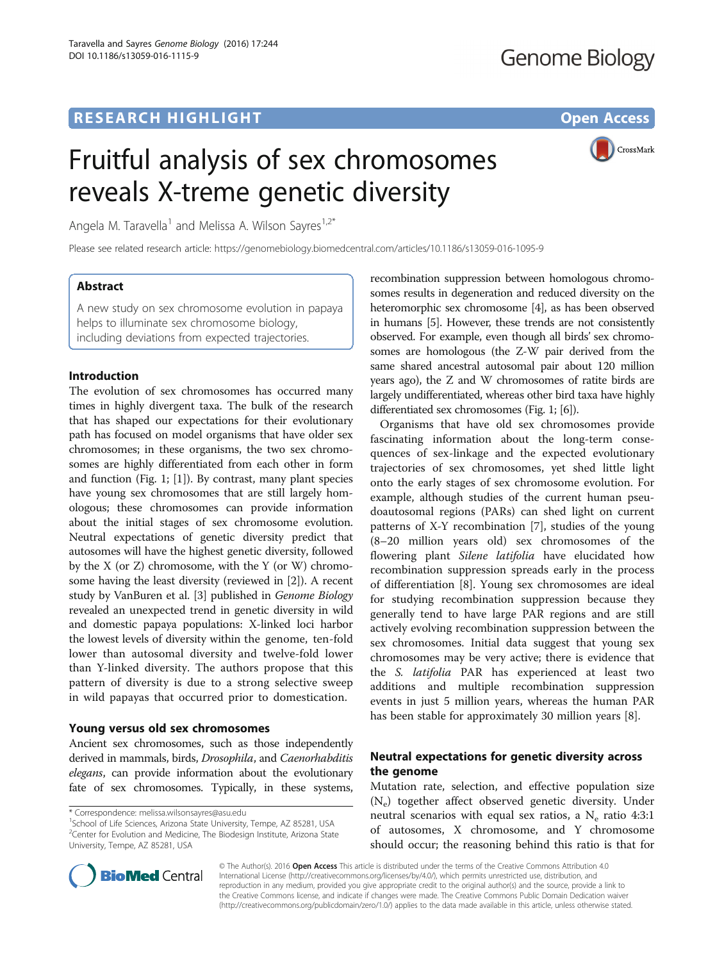# **RESEARCH HIGHLIGHT CONSUMING THE OPEN ACCESS**

# Fruitful analysis of sex chromosomes reveals X-treme genetic diversity

CrossMark

Angela M. Taravella<sup>1</sup> and Melissa A. Wilson Sayres<sup>1,2\*</sup>

Please see related research article: <https://genomebiology.biomedcentral.com/articles/10.1186/s13059-016-1095-9>

# Abstract

A new study on sex chromosome evolution in papaya helps to illuminate sex chromosome biology, including deviations from expected trajectories.

# Introduction

The evolution of sex chromosomes has occurred many times in highly divergent taxa. The bulk of the research that has shaped our expectations for their evolutionary path has focused on model organisms that have older sex chromosomes; in these organisms, the two sex chromosomes are highly differentiated from each other in form and function (Fig. [1](#page-1-0); [[1](#page-2-0)]). By contrast, many plant species have young sex chromosomes that are still largely homologous; these chromosomes can provide information about the initial stages of sex chromosome evolution. Neutral expectations of genetic diversity predict that autosomes will have the highest genetic diversity, followed by the X (or Z) chromosome, with the Y (or W) chromosome having the least diversity (reviewed in [\[2](#page-2-0)]). A recent study by VanBuren et al. [\[3](#page-2-0)] published in Genome Biology revealed an unexpected trend in genetic diversity in wild and domestic papaya populations: X-linked loci harbor the lowest levels of diversity within the genome, ten-fold lower than autosomal diversity and twelve-fold lower than Y-linked diversity. The authors propose that this pattern of diversity is due to a strong selective sweep in wild papayas that occurred prior to domestication.

# Young versus old sex chromosomes

Ancient sex chromosomes, such as those independently derived in mammals, birds, Drosophila, and Caenorhabditis elegans, can provide information about the evolutionary fate of sex chromosomes. Typically, in these systems,

<sup>1</sup>School of Life Sciences, Arizona State University, Tempe, AZ 85281, USA <sup>2</sup>Center for Evolution and Medicine, The Biodesign Institute, Arizona State University, Tempe, AZ 85281, USA



Organisms that have old sex chromosomes provide fascinating information about the long-term consequences of sex-linkage and the expected evolutionary trajectories of sex chromosomes, yet shed little light onto the early stages of sex chromosome evolution. For example, although studies of the current human pseudoautosomal regions (PARs) can shed light on current patterns of X-Y recombination [\[7](#page-2-0)], studies of the young (8–20 million years old) sex chromosomes of the flowering plant Silene latifolia have elucidated how recombination suppression spreads early in the process of differentiation [\[8](#page-2-0)]. Young sex chromosomes are ideal for studying recombination suppression because they generally tend to have large PAR regions and are still actively evolving recombination suppression between the sex chromosomes. Initial data suggest that young sex chromosomes may be very active; there is evidence that the S. latifolia PAR has experienced at least two additions and multiple recombination suppression events in just 5 million years, whereas the human PAR has been stable for approximately 30 million years [[8\]](#page-2-0).

# Neutral expectations for genetic diversity across the genome

Mutation rate, selection, and effective population size (Ne) together affect observed genetic diversity. Under neutral scenarios with equal sex ratios, a  $N_e$  ratio 4:3:1 of autosomes, X chromosome, and Y chromosome should occur; the reasoning behind this ratio is that for



© The Author(s). 2016 Open Access This article is distributed under the terms of the Creative Commons Attribution 4.0 International License [\(http://creativecommons.org/licenses/by/4.0/](http://creativecommons.org/licenses/by/4.0/)), which permits unrestricted use, distribution, and reproduction in any medium, provided you give appropriate credit to the original author(s) and the source, provide a link to the Creative Commons license, and indicate if changes were made. The Creative Commons Public Domain Dedication waiver [\(http://creativecommons.org/publicdomain/zero/1.0/](http://creativecommons.org/publicdomain/zero/1.0/)) applies to the data made available in this article, unless otherwise stated.

<sup>\*</sup> Correspondence: [melissa.wilsonsayres@asu.edu](mailto:melissa.wilsonsayres@asu.edu) <sup>1</sup>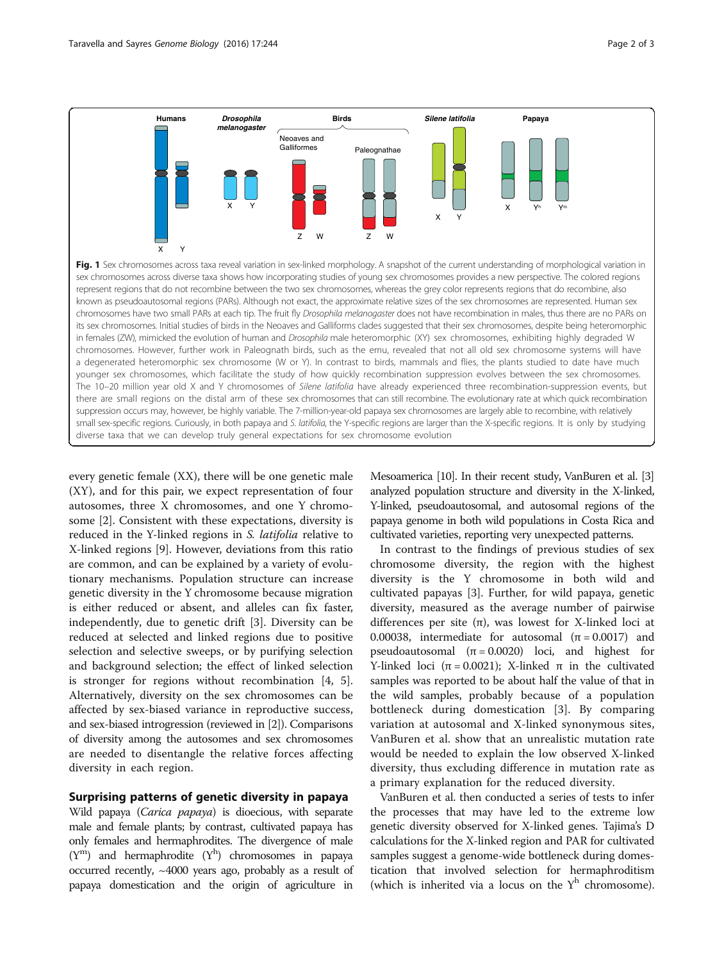<span id="page-1-0"></span>

every genetic female (XX), there will be one genetic male (XY), and for this pair, we expect representation of four autosomes, three X chromosomes, and one Y chromosome [[2](#page-2-0)]. Consistent with these expectations, diversity is reduced in the Y-linked regions in S. latifolia relative to X-linked regions [\[9](#page-2-0)]. However, deviations from this ratio are common, and can be explained by a variety of evolutionary mechanisms. Population structure can increase genetic diversity in the Y chromosome because migration is either reduced or absent, and alleles can fix faster, independently, due to genetic drift [[3\]](#page-2-0). Diversity can be reduced at selected and linked regions due to positive selection and selective sweeps, or by purifying selection and background selection; the effect of linked selection is stronger for regions without recombination [\[4](#page-2-0), [5](#page-2-0)]. Alternatively, diversity on the sex chromosomes can be affected by sex-biased variance in reproductive success, and sex-biased introgression (reviewed in [\[2](#page-2-0)]). Comparisons of diversity among the autosomes and sex chromosomes are needed to disentangle the relative forces affecting diversity in each region.

## Surprising patterns of genetic diversity in papaya

Wild papaya (Carica papaya) is dioecious, with separate male and female plants; by contrast, cultivated papaya has only females and hermaphrodites. The divergence of male  $(Y<sup>m</sup>)$  and hermaphrodite  $(Y<sup>h</sup>)$  chromosomes in papaya occurred recently, ~4000 years ago, probably as a result of papaya domestication and the origin of agriculture in

Mesoamerica [\[10](#page-2-0)]. In their recent study, VanBuren et al. [\[3](#page-2-0)] analyzed population structure and diversity in the X-linked, Y-linked, pseudoautosomal, and autosomal regions of the papaya genome in both wild populations in Costa Rica and cultivated varieties, reporting very unexpected patterns.

In contrast to the findings of previous studies of sex chromosome diversity, the region with the highest diversity is the Y chromosome in both wild and cultivated papayas [[3\]](#page-2-0). Further, for wild papaya, genetic diversity, measured as the average number of pairwise differences per site  $(\pi)$ , was lowest for X-linked loci at 0.00038, intermediate for autosomal  $(\pi = 0.0017)$  and pseudoautosomal  $(\pi = 0.0020)$  loci, and highest for Y-linked loci ( $\pi$  = 0.0021); X-linked  $\pi$  in the cultivated samples was reported to be about half the value of that in the wild samples, probably because of a population bottleneck during domestication [[3](#page-2-0)]. By comparing variation at autosomal and X-linked synonymous sites, VanBuren et al. show that an unrealistic mutation rate would be needed to explain the low observed X-linked diversity, thus excluding difference in mutation rate as a primary explanation for the reduced diversity.

VanBuren et al. then conducted a series of tests to infer the processes that may have led to the extreme low genetic diversity observed for X-linked genes. Tajima's D calculations for the X-linked region and PAR for cultivated samples suggest a genome-wide bottleneck during domestication that involved selection for hermaphroditism (which is inherited via a locus on the  $Y^h$  chromosome).